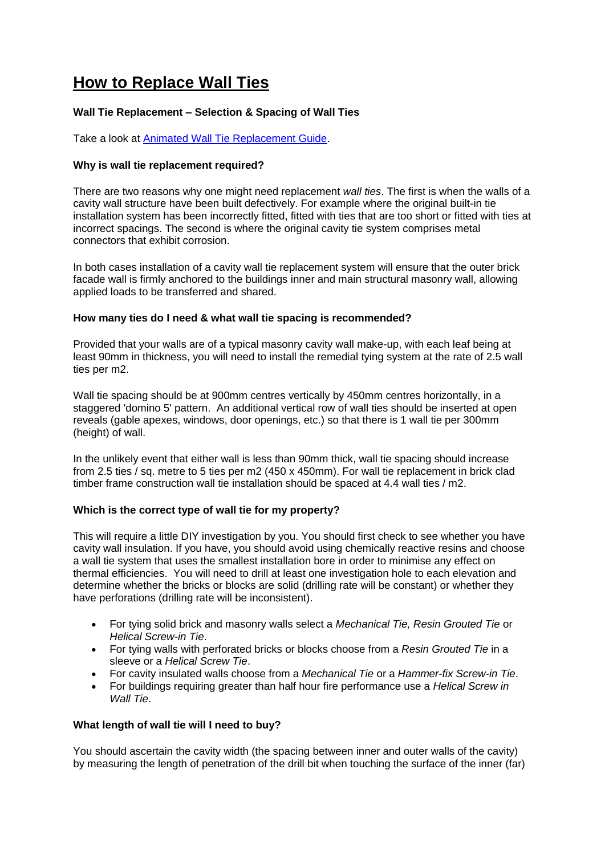# **How to Replace Wall Ties**

## **Wall Tie Replacement – Selection & Spacing of Wall Ties**

Take a look at [Animated Wall Tie Replacement Guide.](http://www.twistfix.co.uk/help-and-advice/video-guides.html#faq3)

## **Why is wall tie replacement required?**

There are two reasons why one might need replacement *wall ties*. The first is when the walls of a cavity wall structure have been built defectively. For example where the original built-in tie installation system has been incorrectly fitted, fitted with ties that are too short or fitted with ties at incorrect spacings. The second is where the original cavity tie system comprises metal connectors that exhibit corrosion.

In both cases installation of a cavity wall tie replacement system will ensure that the outer brick facade wall is firmly anchored to the buildings inner and main structural masonry wall, allowing applied loads to be transferred and shared.

## **How many ties do I need & what wall tie spacing is recommended?**

Provided that your walls are of a typical masonry cavity wall make-up, with each leaf being at least 90mm in thickness, you will need to install the remedial tying system at the rate of 2.5 wall ties per m2.

Wall tie spacing should be at 900mm centres vertically by 450mm centres horizontally, in a staggered 'domino 5' pattern. An additional vertical row of wall ties should be inserted at open reveals (gable apexes, windows, door openings, etc.) so that there is 1 wall tie per 300mm (height) of wall.

In the unlikely event that either wall is less than 90mm thick, wall tie spacing should increase from 2.5 ties / sq. metre to 5 ties per m2 (450 x 450mm). For wall tie replacement in brick clad timber frame construction wall tie installation should be spaced at 4.4 wall ties / m2.

#### **Which is the correct type of wall tie for my property?**

This will require a little DIY investigation by you. You should first check to see whether you have cavity wall insulation. If you have, you should avoid using chemically reactive resins and choose a wall tie system that uses the smallest installation bore in order to minimise any effect on thermal efficiencies. You will need to drill at least one investigation hole to each elevation and determine whether the bricks or blocks are solid (drilling rate will be constant) or whether they have perforations (drilling rate will be inconsistent).

- For tying solid brick and masonry walls select a *Mechanical Tie, Resin Grouted Tie* or *Helical Screw-in Tie*.
- For tying walls with perforated bricks or blocks choose from a *Resin Grouted Tie* in a sleeve or a *Helical Screw Tie*.
- For cavity insulated walls choose from a *Mechanical Tie* or a *Hammer-fix Screw-in Tie*.
- For buildings requiring greater than half hour fire performance use a *Helical Screw in Wall Tie*.

#### **What length of wall tie will I need to buy?**

You should ascertain the cavity width (the spacing between inner and outer walls of the cavity) by measuring the length of penetration of the drill bit when touching the surface of the inner (far)